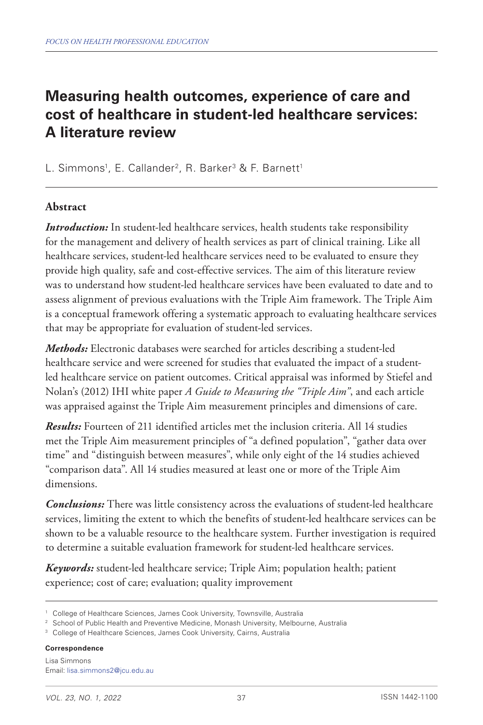# **Measuring health outcomes, experience of care and cost of healthcare in student-led healthcare services: A literature review**

L. Simmons<sup>1</sup>, E. Callander<sup>2</sup>, R. Barker<sup>3</sup> & F. Barnett<sup>1</sup>

### **Abstract**

*Introduction:* In student-led healthcare services, health students take responsibility for the management and delivery of health services as part of clinical training. Like all healthcare services, student-led healthcare services need to be evaluated to ensure they provide high quality, safe and cost-effective services. The aim of this literature review was to understand how student-led healthcare services have been evaluated to date and to assess alignment of previous evaluations with the Triple Aim framework. The Triple Aim is a conceptual framework offering a systematic approach to evaluating healthcare services that may be appropriate for evaluation of student-led services.

*Methods:* Electronic databases were searched for articles describing a student-led healthcare service and were screened for studies that evaluated the impact of a studentled healthcare service on patient outcomes. Critical appraisal was informed by Stiefel and Nolan's (2012) IHI white paper *A Guide to Measuring the "Triple Aim"*, and each article was appraised against the Triple Aim measurement principles and dimensions of care.

*Results:* Fourteen of 211 identified articles met the inclusion criteria. All 14 studies met the Triple Aim measurement principles of "a defined population", "gather data over time" and "distinguish between measures", while only eight of the 14 studies achieved "comparison data". All 14 studies measured at least one or more of the Triple Aim dimensions.

*Conclusions:* There was little consistency across the evaluations of student-led healthcare services, limiting the extent to which the benefits of student-led healthcare services can be shown to be a valuable resource to the healthcare system. Further investigation is required to determine a suitable evaluation framework for student-led healthcare services.

*Keywords:* student-led healthcare service; Triple Aim; population health; patient experience; cost of care; evaluation; quality improvement

**Correspondence**

<sup>&</sup>lt;sup>1</sup> College of Healthcare Sciences, James Cook University, Townsville, Australia

<sup>&</sup>lt;sup>2</sup> School of Public Health and Preventive Medicine, Monash University, Melbourne, Australia

<sup>&</sup>lt;sup>3</sup> College of Healthcare Sciences, James Cook University, Cairns, Australia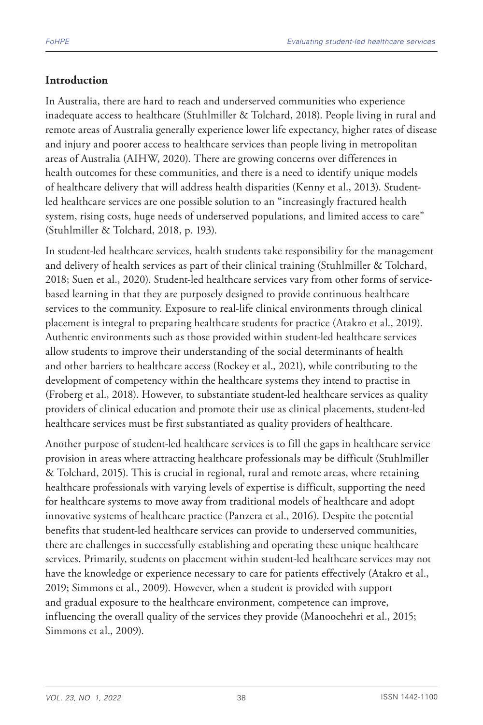### **Introduction**

In Australia, there are hard to reach and underserved communities who experience inadequate access to healthcare (Stuhlmiller & Tolchard, 2018). People living in rural and remote areas of Australia generally experience lower life expectancy, higher rates of disease and injury and poorer access to healthcare services than people living in metropolitan areas of Australia (AIHW, 2020). There are growing concerns over differences in health outcomes for these communities, and there is a need to identify unique models of healthcare delivery that will address health disparities (Kenny et al., 2013). Studentled healthcare services are one possible solution to an "increasingly fractured health system, rising costs, huge needs of underserved populations, and limited access to care" (Stuhlmiller & Tolchard, 2018, p. 193).

In student-led healthcare services, health students take responsibility for the management and delivery of health services as part of their clinical training (Stuhlmiller & Tolchard, 2018; Suen et al., 2020). Student-led healthcare services vary from other forms of servicebased learning in that they are purposely designed to provide continuous healthcare services to the community. Exposure to real-life clinical environments through clinical placement is integral to preparing healthcare students for practice (Atakro et al., 2019). Authentic environments such as those provided within student-led healthcare services allow students to improve their understanding of the social determinants of health and other barriers to healthcare access (Rockey et al., 2021), while contributing to the development of competency within the healthcare systems they intend to practise in (Froberg et al., 2018). However, to substantiate student-led healthcare services as quality providers of clinical education and promote their use as clinical placements, student-led healthcare services must be first substantiated as quality providers of healthcare.

Another purpose of student-led healthcare services is to fill the gaps in healthcare service provision in areas where attracting healthcare professionals may be difficult (Stuhlmiller & Tolchard, 2015). This is crucial in regional, rural and remote areas, where retaining healthcare professionals with varying levels of expertise is difficult, supporting the need for healthcare systems to move away from traditional models of healthcare and adopt innovative systems of healthcare practice (Panzera et al., 2016). Despite the potential benefits that student-led healthcare services can provide to underserved communities, there are challenges in successfully establishing and operating these unique healthcare services. Primarily, students on placement within student-led healthcare services may not have the knowledge or experience necessary to care for patients effectively (Atakro et al., 2019; Simmons et al., 2009). However, when a student is provided with support and gradual exposure to the healthcare environment, competence can improve, influencing the overall quality of the services they provide (Manoochehri et al., 2015; Simmons et al., 2009).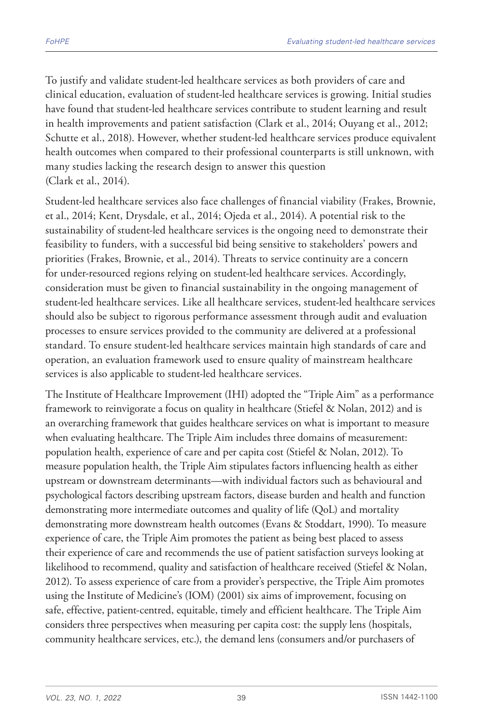To justify and validate student-led healthcare services as both providers of care and clinical education, evaluation of student-led healthcare services is growing. Initial studies have found that student-led healthcare services contribute to student learning and result in health improvements and patient satisfaction (Clark et al., 2014; Ouyang et al., 2012; Schutte et al., 2018). However, whether student-led healthcare services produce equivalent health outcomes when compared to their professional counterparts is still unknown, with many studies lacking the research design to answer this question (Clark et al., 2014).

Student-led healthcare services also face challenges of financial viability (Frakes, Brownie, et al., 2014; Kent, Drysdale, et al., 2014; Ojeda et al., 2014). A potential risk to the sustainability of student-led healthcare services is the ongoing need to demonstrate their feasibility to funders, with a successful bid being sensitive to stakeholders' powers and priorities (Frakes, Brownie, et al., 2014). Threats to service continuity are a concern for under-resourced regions relying on student-led healthcare services. Accordingly, consideration must be given to financial sustainability in the ongoing management of student-led healthcare services. Like all healthcare services, student-led healthcare services should also be subject to rigorous performance assessment through audit and evaluation processes to ensure services provided to the community are delivered at a professional standard. To ensure student-led healthcare services maintain high standards of care and operation, an evaluation framework used to ensure quality of mainstream healthcare services is also applicable to student-led healthcare services.

The Institute of Healthcare Improvement (IHI) adopted the "Triple Aim" as a performance framework to reinvigorate a focus on quality in healthcare (Stiefel & Nolan, 2012) and is an overarching framework that guides healthcare services on what is important to measure when evaluating healthcare. The Triple Aim includes three domains of measurement: population health, experience of care and per capita cost (Stiefel & Nolan, 2012). To measure population health, the Triple Aim stipulates factors influencing health as either upstream or downstream determinants—with individual factors such as behavioural and psychological factors describing upstream factors, disease burden and health and function demonstrating more intermediate outcomes and quality of life (QoL) and mortality demonstrating more downstream health outcomes (Evans & Stoddart, 1990). To measure experience of care, the Triple Aim promotes the patient as being best placed to assess their experience of care and recommends the use of patient satisfaction surveys looking at likelihood to recommend, quality and satisfaction of healthcare received (Stiefel & Nolan, 2012). To assess experience of care from a provider's perspective, the Triple Aim promotes using the Institute of Medicine's (IOM) (2001) six aims of improvement, focusing on safe, effective, patient-centred, equitable, timely and efficient healthcare. The Triple Aim considers three perspectives when measuring per capita cost: the supply lens (hospitals, community healthcare services, etc.), the demand lens (consumers and/or purchasers of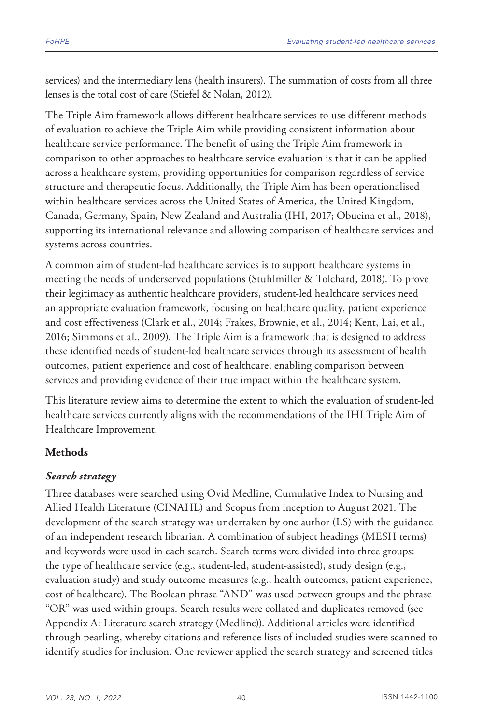services) and the intermediary lens (health insurers). The summation of costs from all three lenses is the total cost of care (Stiefel & Nolan, 2012).

The Triple Aim framework allows different healthcare services to use different methods of evaluation to achieve the Triple Aim while providing consistent information about healthcare service performance. The benefit of using the Triple Aim framework in comparison to other approaches to healthcare service evaluation is that it can be applied across a healthcare system, providing opportunities for comparison regardless of service structure and therapeutic focus. Additionally, the Triple Aim has been operationalised within healthcare services across the United States of America, the United Kingdom, Canada, Germany, Spain, New Zealand and Australia (IHI, 2017; Obucina et al., 2018), supporting its international relevance and allowing comparison of healthcare services and systems across countries.

A common aim of student-led healthcare services is to support healthcare systems in meeting the needs of underserved populations (Stuhlmiller & Tolchard, 2018). To prove their legitimacy as authentic healthcare providers, student-led healthcare services need an appropriate evaluation framework, focusing on healthcare quality, patient experience and cost effectiveness (Clark et al., 2014; Frakes, Brownie, et al., 2014; Kent, Lai, et al., 2016; Simmons et al., 2009). The Triple Aim is a framework that is designed to address these identified needs of student-led healthcare services through its assessment of health outcomes, patient experience and cost of healthcare, enabling comparison between services and providing evidence of their true impact within the healthcare system.

This literature review aims to determine the extent to which the evaluation of student-led healthcare services currently aligns with the recommendations of the IHI Triple Aim of Healthcare Improvement.

# **Methods**

### *Search strategy*

Three databases were searched using Ovid Medline, Cumulative Index to Nursing and Allied Health Literature (CINAHL) and Scopus from inception to August 2021. The development of the search strategy was undertaken by one author (LS) with the guidance of an independent research librarian. A combination of subject headings (MESH terms) and keywords were used in each search. Search terms were divided into three groups: the type of healthcare service (e.g., student-led, student-assisted), study design (e.g., evaluation study) and study outcome measures (e.g., health outcomes, patient experience, cost of healthcare). The Boolean phrase "AND" was used between groups and the phrase "OR" was used within groups. Search results were collated and duplicates removed (see Appendix A: Literature search strategy (Medline)). Additional articles were identified through pearling, whereby citations and reference lists of included studies were scanned to identify studies for inclusion. One reviewer applied the search strategy and screened titles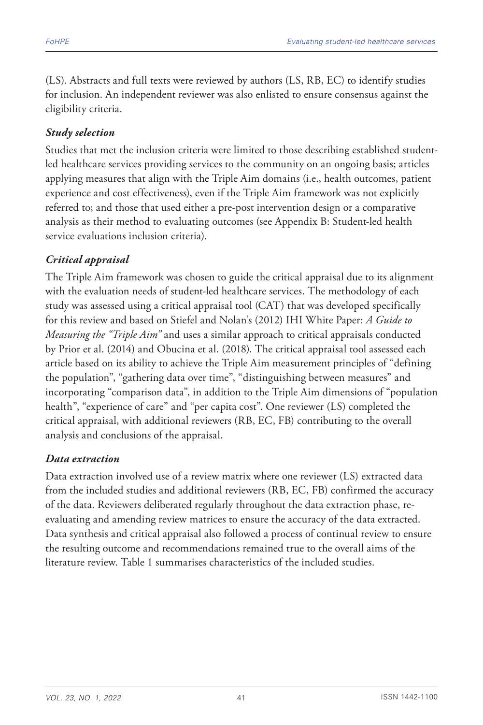(LS). Abstracts and full texts were reviewed by authors (LS, RB, EC) to identify studies for inclusion. An independent reviewer was also enlisted to ensure consensus against the eligibility criteria.

### *Study selection*

Studies that met the inclusion criteria were limited to those describing established studentled healthcare services providing services to the community on an ongoing basis; articles applying measures that align with the Triple Aim domains (i.e., health outcomes, patient experience and cost effectiveness), even if the Triple Aim framework was not explicitly referred to; and those that used either a pre-post intervention design or a comparative analysis as their method to evaluating outcomes (see Appendix B: Student-led health service evaluations inclusion criteria).

### *Critical appraisal*

The Triple Aim framework was chosen to guide the critical appraisal due to its alignment with the evaluation needs of student-led healthcare services. The methodology of each study was assessed using a critical appraisal tool (CAT) that was developed specifically for this review and based on Stiefel and Nolan's (2012) IHI White Paper: *A Guide to Measuring the "Triple Aim"* and uses a similar approach to critical appraisals conducted by Prior et al. (2014) and Obucina et al. (2018). The critical appraisal tool assessed each article based on its ability to achieve the Triple Aim measurement principles of "defining the population", "gathering data over time", "distinguishing between measures" and incorporating "comparison data", in addition to the Triple Aim dimensions of "population health", "experience of care" and "per capita cost". One reviewer (LS) completed the critical appraisal, with additional reviewers (RB, EC, FB) contributing to the overall analysis and conclusions of the appraisal.

### *Data extraction*

Data extraction involved use of a review matrix where one reviewer (LS) extracted data from the included studies and additional reviewers (RB, EC, FB) confirmed the accuracy of the data. Reviewers deliberated regularly throughout the data extraction phase, reevaluating and amending review matrices to ensure the accuracy of the data extracted. Data synthesis and critical appraisal also followed a process of continual review to ensure the resulting outcome and recommendations remained true to the overall aims of the literature review. Table 1 summarises characteristics of the included studies.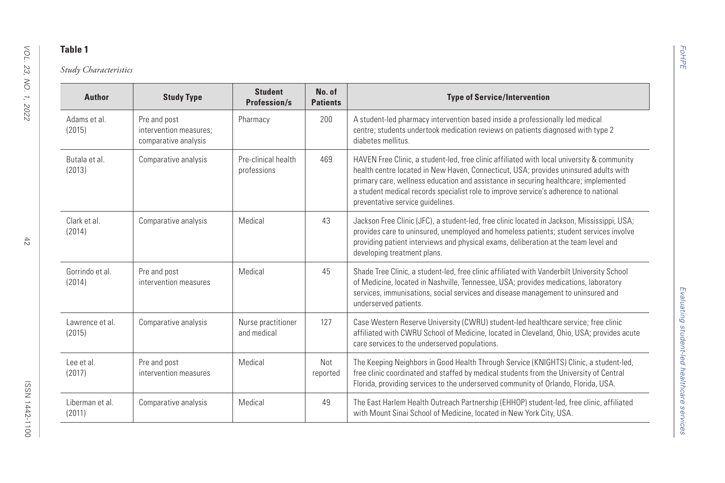| <b>Author</b>             | <b>Study Type</b>                                              | <b>Student</b><br><b>Profession/s</b> | No. of<br><b>Patients</b> | <b>Type of Service/Intervention</b>                                                                                                                                                                                                                                                                                                                                                                   |
|---------------------------|----------------------------------------------------------------|---------------------------------------|---------------------------|-------------------------------------------------------------------------------------------------------------------------------------------------------------------------------------------------------------------------------------------------------------------------------------------------------------------------------------------------------------------------------------------------------|
| Adams et al.<br>(2015)    | Pre and post<br>intervention measures:<br>comparative analysis | Pharmacy                              | 200                       | A student-led pharmacy intervention based inside a professionally led medical<br>centre; students undertook medication reviews on patients diagnosed with type 2<br>diabetes mellitus.                                                                                                                                                                                                                |
| Butala et al<br>(2013)    | Comparative analysis                                           | Pre-clinical health<br>professions    | 469                       | HAVEN Free Clinic, a student-led, free clinic affiliated with local university & community<br>health centre located in New Haven, Connecticut, USA; provides uninsured adults with<br>primary care, wellness education and assistance in securing healthcare; implemented<br>a student medical records specialist role to improve service's adherence to national<br>preventative service guidelines. |
| Clark et al.<br>(2014)    | Comparative analysis                                           | Medical                               | 43                        | Jackson Free Clinic (JFC), a student-led, free clinic located in Jackson, Mississippi, USA;<br>provides care to uninsured, unemployed and homeless patients; student services involve<br>providing patient interviews and physical exams, deliberation at the team level and<br>developing treatment plans.                                                                                           |
| Gorrindo et al.<br>(2014) | Pre and post<br>intervention measures                          | Medical                               | 45                        | Shade Tree Clinic, a student-led, free clinic affiliated with Vanderbilt University School<br>of Medicine, located in Nashville, Tennessee, USA; provides medications, laboratory<br>services, immunisations, social services and disease management to uninsured and<br>underserved patients.                                                                                                        |
| Lawrence et al.<br>(2015) | Comparative analysis                                           | Nurse practitioner<br>and medical     | 127                       | Case Western Reserve University (CWRU) student-led healthcare service; free clinic<br>affiliated with CWRU School of Medicine, located in Cleveland, Ohio, USA; provides acute<br>care services to the underserved populations.                                                                                                                                                                       |
| Lee et al.<br>(2017)      | Pre and post<br>intervention measures                          | Medical                               | Not<br>reported           | The Keeping Neighbors in Good Health Through Service (KNIGHTS) Clinic, a student-led,<br>free clinic coordinated and staffed by medical students from the University of Central<br>Florida, providing services to the underserved community of Orlando, Florida, USA.                                                                                                                                 |
| Liberman et al.<br>(2011) | Comparative analysis                                           | Medical                               | 49                        | The East Harlem Health Outreach Partnership (EHHOP) student-led, free clinic, affiliated<br>with Mount Sinai School of Medicine, located in New York City, USA.                                                                                                                                                                                                                                       |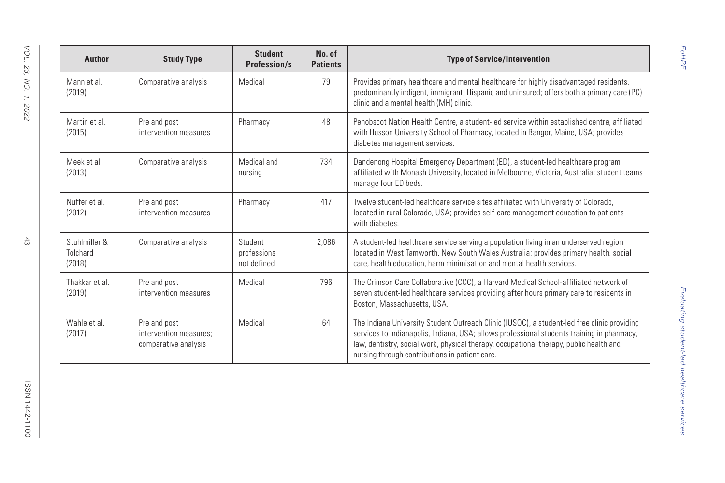| VOL.<br>23,       | <b>Author</b>                       | <b>Study Type</b>                                              | <b>Student</b><br><b>Profession/s</b> | No. of<br><b>Patients</b> | <b>Type of Service/Intervention</b>                                                                                                                                                                                                                                                                                                   |
|-------------------|-------------------------------------|----------------------------------------------------------------|---------------------------------------|---------------------------|---------------------------------------------------------------------------------------------------------------------------------------------------------------------------------------------------------------------------------------------------------------------------------------------------------------------------------------|
| XO.<br>Ι,<br>2022 | Mann et al.<br>(2019)               | Comparative analysis                                           | Medical                               | 79                        | Provides primary healthcare and mental healthcare for highly disadvantaged residents,<br>predominantly indigent, immigrant, Hispanic and uninsured; offers both a primary care (PC)<br>clinic and a mental health (MH) clinic.                                                                                                        |
|                   | Martin et al.<br>(2015)             | Pre and post<br>intervention measures                          | Pharmacy                              | 48                        | Penobscot Nation Health Centre, a student-led service within established centre, affiliated<br>with Husson University School of Pharmacy, located in Bangor, Maine, USA; provides<br>diabetes management services.                                                                                                                    |
|                   | Meek et al.<br>(2013)               | Comparative analysis                                           | Medical and<br>nursing                | 734                       | Dandenong Hospital Emergency Department (ED), a student-led healthcare program<br>affiliated with Monash University, located in Melbourne, Victoria, Australia; student teams<br>manage four ED beds.                                                                                                                                 |
|                   | Nuffer et al.<br>(2012)             | Pre and post<br>intervention measures                          | Pharmacy                              | 417                       | Twelve student-led healthcare service sites affiliated with University of Colorado,<br>located in rural Colorado, USA; provides self-care management education to patients<br>with diabetes.                                                                                                                                          |
| 43                | Stuhlmiller &<br>Tolchard<br>(2018) | Comparative analysis                                           | Student<br>professions<br>not defined | 2,086                     | A student-led healthcare service serving a population living in an underserved region<br>located in West Tamworth, New South Wales Australia; provides primary health, social<br>care, health education, harm minimisation and mental health services.                                                                                |
|                   | Thakkar et al.<br>(2019)            | Pre and post<br>intervention measures                          | Medical                               | 796                       | The Crimson Care Collaborative (CCC), a Harvard Medical School-affiliated network of<br>seven student-led healthcare services providing after hours primary care to residents in<br>Boston, Massachusetts, USA.                                                                                                                       |
|                   | Wahle et al.<br>(2017)              | Pre and post<br>intervention measures:<br>comparative analysis | Medical                               | 64                        | The Indiana University Student Outreach Clinic (IUSOC), a student-led free clinic providing<br>services to Indianapolis, Indiana, USA; allows professional students training in pharmacy,<br>law, dentistry, social work, physical therapy, occupational therapy, public health and<br>nursing through contributions in patient care. |
| ISSN 1442-1100    |                                     |                                                                |                                       |                           |                                                                                                                                                                                                                                                                                                                                       |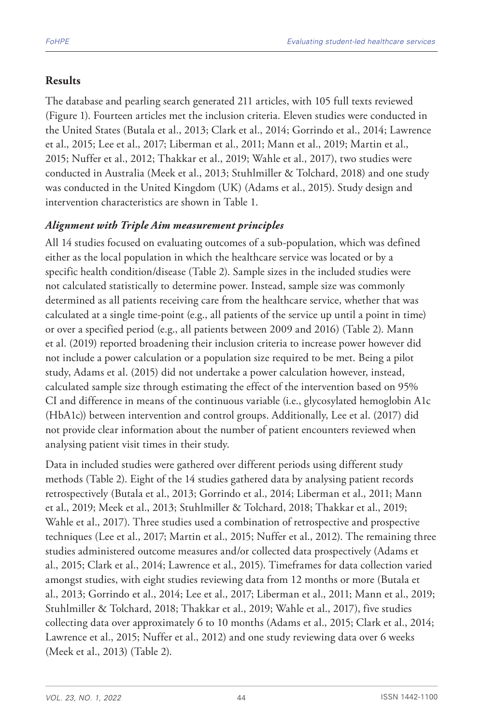### **Results**

The database and pearling search generated 211 articles, with 105 full texts reviewed (Figure 1). Fourteen articles met the inclusion criteria. Eleven studies were conducted in the United States (Butala et al., 2013; Clark et al., 2014; Gorrindo et al., 2014; Lawrence et al., 2015; Lee et al., 2017; Liberman et al., 2011; Mann et al., 2019; Martin et al., 2015; Nuffer et al., 2012; Thakkar et al., 2019; Wahle et al., 2017), two studies were conducted in Australia (Meek et al., 2013; Stuhlmiller & Tolchard, 2018) and one study was conducted in the United Kingdom (UK) (Adams et al., 2015). Study design and intervention characteristics are shown in Table 1.

### *Alignment with Triple Aim measurement principles*

All 14 studies focused on evaluating outcomes of a sub-population, which was defined either as the local population in which the healthcare service was located or by a specific health condition/disease (Table 2). Sample sizes in the included studies were not calculated statistically to determine power. Instead, sample size was commonly determined as all patients receiving care from the healthcare service, whether that was calculated at a single time-point (e.g., all patients of the service up until a point in time) or over a specified period (e.g., all patients between 2009 and 2016) (Table 2). Mann et al. (2019) reported broadening their inclusion criteria to increase power however did not include a power calculation or a population size required to be met. Being a pilot study, Adams et al. (2015) did not undertake a power calculation however, instead, calculated sample size through estimating the effect of the intervention based on 95% CI and difference in means of the continuous variable (i.e., glycosylated hemoglobin A1c (HbA1c)) between intervention and control groups. Additionally, Lee et al. (2017) did not provide clear information about the number of patient encounters reviewed when analysing patient visit times in their study.

Data in included studies were gathered over different periods using different study methods (Table 2). Eight of the 14 studies gathered data by analysing patient records retrospectively (Butala et al., 2013; Gorrindo et al., 2014; Liberman et al., 2011; Mann et al., 2019; Meek et al., 2013; Stuhlmiller & Tolchard, 2018; Thakkar et al., 2019; Wahle et al., 2017). Three studies used a combination of retrospective and prospective techniques (Lee et al., 2017; Martin et al., 2015; Nuffer et al., 2012). The remaining three studies administered outcome measures and/or collected data prospectively (Adams et al., 2015; Clark et al., 2014; Lawrence et al., 2015). Timeframes for data collection varied amongst studies, with eight studies reviewing data from 12 months or more (Butala et al., 2013; Gorrindo et al., 2014; Lee et al., 2017; Liberman et al., 2011; Mann et al., 2019; Stuhlmiller & Tolchard, 2018; Thakkar et al., 2019; Wahle et al., 2017), five studies collecting data over approximately 6 to 10 months (Adams et al., 2015; Clark et al., 2014; Lawrence et al., 2015; Nuffer et al., 2012) and one study reviewing data over 6 weeks (Meek et al., 2013) (Table 2).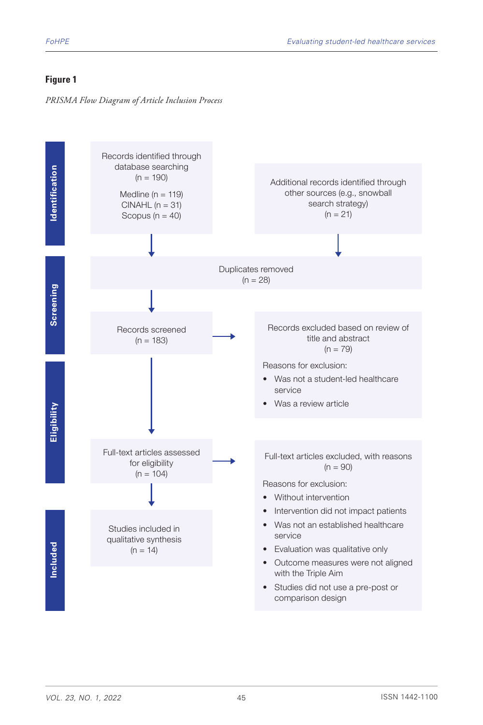### **Figure 1**

*PRISMA Flow Diagram of Article Inclusion Process*

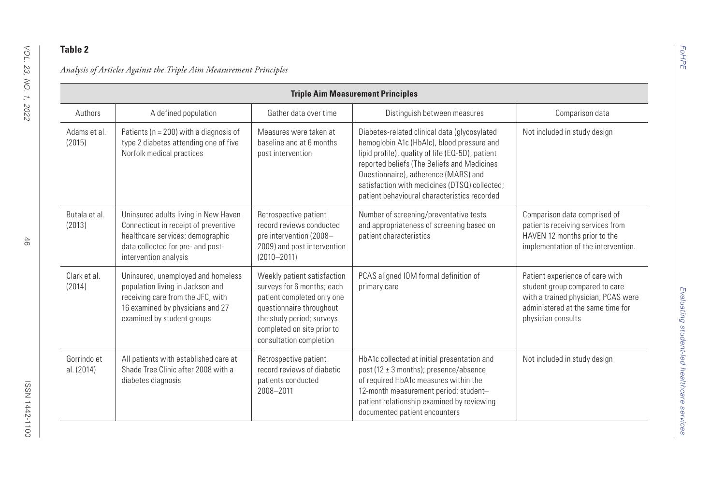|                           |                                                                                                                                                                                |                                                                                                                                                                                                           | <b>Triple Aim Measurement Principles</b>                                                                                                                                                                                                                                                                                               |                                                                                                                                                                     |
|---------------------------|--------------------------------------------------------------------------------------------------------------------------------------------------------------------------------|-----------------------------------------------------------------------------------------------------------------------------------------------------------------------------------------------------------|----------------------------------------------------------------------------------------------------------------------------------------------------------------------------------------------------------------------------------------------------------------------------------------------------------------------------------------|---------------------------------------------------------------------------------------------------------------------------------------------------------------------|
| Authors                   | A defined population                                                                                                                                                           | Gather data over time                                                                                                                                                                                     | Distinguish between measures                                                                                                                                                                                                                                                                                                           | Comparison data                                                                                                                                                     |
| Adams et al.<br>(2015)    | Patients ( $n = 200$ ) with a diagnosis of<br>type 2 diabetes attending one of five<br>Norfolk medical practices                                                               | Measures were taken at<br>baseline and at 6 months<br>post intervention                                                                                                                                   | Diabetes-related clinical data (glycosylated<br>hemoglobin A1c (HbAlc), blood pressure and<br>lipid profile), quality of life (EQ-5D), patient<br>reported beliefs (The Beliefs and Medicines<br>Questionnaire), adherence (MARS) and<br>satisfaction with medicines (DTSQ) collected;<br>patient behavioural characteristics recorded | Not included in study design                                                                                                                                        |
| Butala et al.<br>(2013)   | Uninsured adults living in New Haven<br>Connecticut in receipt of preventive<br>healthcare services; demographic<br>data collected for pre- and post-<br>intervention analysis | Retrospective patient<br>record reviews conducted<br>pre intervention (2008-<br>2009) and post intervention<br>$(2010 - 2011)$                                                                            | Number of screening/preventative tests<br>and appropriateness of screening based on<br>patient characteristics                                                                                                                                                                                                                         | Comparison data comprised of<br>patients receiving services from<br>HAVEN 12 months prior to the<br>implementation of the intervention.                             |
| Clark et al.<br>(2014)    | Uninsured, unemployed and homeless<br>population living in Jackson and<br>receiving care from the JFC, with<br>16 examined by physicians and 27<br>examined by student groups  | Weekly patient satisfaction<br>surveys for 6 months; each<br>patient completed only one<br>questionnaire throughout<br>the study period; surveys<br>completed on site prior to<br>consultation completion | PCAS aligned IOM formal definition of<br>primary care                                                                                                                                                                                                                                                                                  | Patient experience of care with<br>student group compared to care<br>with a trained physician; PCAS were<br>administered at the same time for<br>physician consults |
| Gorrindo et<br>al. (2014) | All patients with established care at<br>Shade Tree Clinic after 2008 with a<br>diabetes diagnosis                                                                             | Retrospective patient<br>record reviews of diabetic<br>patients conducted<br>2008-2011                                                                                                                    | HbA1c collected at initial presentation and<br>post (12 $\pm$ 3 months); presence/absence<br>of required HbA1c measures within the<br>12-month measurement period; student-<br>patient relationship examined by reviewing<br>documented patient encounters                                                                             | Not included in study design                                                                                                                                        |

 $\overline{\phantom{a}}$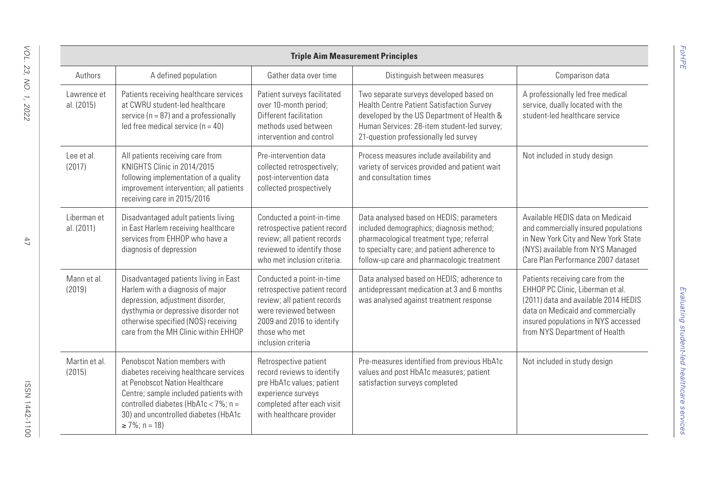|                           |                                                                                                                                                                                                                                                            |                                                                                                                                                                                       | <b>Triple Aim Measurement Principles</b>                                                                                                                                                                                      |                                                                                                                                                                                                                           |
|---------------------------|------------------------------------------------------------------------------------------------------------------------------------------------------------------------------------------------------------------------------------------------------------|---------------------------------------------------------------------------------------------------------------------------------------------------------------------------------------|-------------------------------------------------------------------------------------------------------------------------------------------------------------------------------------------------------------------------------|---------------------------------------------------------------------------------------------------------------------------------------------------------------------------------------------------------------------------|
| Authors                   | A defined population                                                                                                                                                                                                                                       | Gather data over time                                                                                                                                                                 | Distinguish between measures                                                                                                                                                                                                  | Comparison data                                                                                                                                                                                                           |
| Lawrence et<br>al. (2015) | Patients receiving healthcare services<br>at CWRU student-led healthcare<br>service ( $n = 87$ ) and a professionally<br>led free medical service ( $n = 40$ )                                                                                             | Patient surveys facilitated<br>over 10-month period;<br>Different facilitation<br>methods used between<br>intervention and control                                                    | Two separate surveys developed based on<br>Health Centre Patient Satisfaction Survey<br>developed by the US Department of Health &<br>Human Services: 28-item student-led survey;<br>21-question professionally led survey    | A professionally led free medical<br>service, dually located with the<br>student-led healthcare service                                                                                                                   |
| Lee et al.<br>(2017)      | All patients receiving care from<br>KNIGHTS Clinic in 2014/2015<br>following implementation of a quality<br>improvement intervention; all patients<br>receiving care in 2015/2016                                                                          | Pre-intervention data<br>collected retrospectively;<br>post-intervention data<br>collected prospectively                                                                              | Process measures include availability and<br>variety of services provided and patient wait<br>and consultation times                                                                                                          | Not included in study design                                                                                                                                                                                              |
| Liberman et<br>al. (2011) | Disadvantaged adult patients living<br>in East Harlem receiving healthcare<br>services from EHHOP who have a<br>diagnosis of depression                                                                                                                    | Conducted a point-in-time<br>retrospective patient record<br>review; all patient records<br>reviewed to identify those<br>who met inclusion criteria.                                 | Data analysed based on HEDIS; parameters<br>included demographics; diagnosis method;<br>pharmacological treatment type; referral<br>to specialty care; and patient adherence to<br>follow-up care and pharmacologic treatment | Available HEDIS data on Medicaid<br>and commercially insured populations<br>in New York City and New York State<br>(NYS) available from NYS Managed<br>Care Plan Performance 2007 dataset                                 |
| Mann et al.<br>(2019)     | Disadvantaged patients living in East<br>Harlem with a diagnosis of major<br>depression, adjustment disorder,<br>dysthymia or depressive disorder not<br>otherwise specified (NOS) receiving<br>care from the MH Clinic within EHHOP                       | Conducted a point-in-time<br>retrospective patient record<br>review; all patient records<br>were reviewed between<br>2009 and 2016 to identify<br>those who met<br>inclusion criteria | Data analysed based on HEDIS; adherence to<br>antidepressant medication at 3 and 6 months<br>was analysed against treatment response                                                                                          | Patients receiving care from the<br>EHHOP PC Clinic, Liberman et al.<br>(2011) data and available 2014 HEDIS<br>data on Medicaid and commercially<br>insured populations in NYS accessed<br>from NYS Department of Health |
| Martin et al.<br>(2015)   | Penobscot Nation members with<br>diabetes receiving healthcare services<br>at Penobscot Nation Healthcare<br>Centre; sample included patients with<br>controlled diabetes (HbA1c < 7%; $n =$<br>30) and uncontrolled diabetes (HbA1c<br>$\geq$ 7%; n = 18) | Retrospective patient<br>record reviews to identify<br>pre HbA1c values; patient<br>experience surveys<br>completed after each visit<br>with healthcare provider                      | Pre-measures identified from previous HbA1c<br>values and post HbA1c measures; patient<br>satisfaction surveys completed                                                                                                      | Not included in study design                                                                                                                                                                                              |

*FoHPE*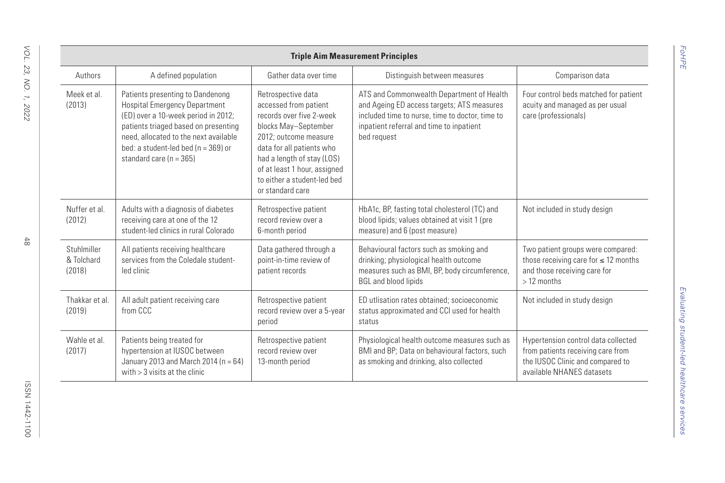|                                     |                                                                                                                                                                                                                                                                            |                                                                                                                                                                                                                                                                        | <b>Triple Aim Measurement Principles</b>                                                                                                                                                              |                                                                                                                                           |
|-------------------------------------|----------------------------------------------------------------------------------------------------------------------------------------------------------------------------------------------------------------------------------------------------------------------------|------------------------------------------------------------------------------------------------------------------------------------------------------------------------------------------------------------------------------------------------------------------------|-------------------------------------------------------------------------------------------------------------------------------------------------------------------------------------------------------|-------------------------------------------------------------------------------------------------------------------------------------------|
| Authors                             | A defined population                                                                                                                                                                                                                                                       | Gather data over time                                                                                                                                                                                                                                                  | Distinguish between measures                                                                                                                                                                          | Comparison data                                                                                                                           |
| Meek et al.<br>(2013)               | Patients presenting to Dandenong<br><b>Hospital Emergency Department</b><br>(ED) over a 10-week period in 2012;<br>patients triaged based on presenting<br>need, allocated to the next available<br>bed: a student-led bed ( $n = 369$ ) or<br>standard care ( $n = 365$ ) | Retrospective data<br>accessed from patient<br>records over five 2-week<br>blocks May-September<br>2012: outcome measure<br>data for all patients who<br>had a length of stay (LOS)<br>of at least 1 hour, assigned<br>to either a student-led bed<br>or standard care | ATS and Commonwealth Department of Health<br>and Ageing ED access targets; ATS measures<br>included time to nurse, time to doctor, time to<br>inpatient referral and time to inpatient<br>bed request | Four control beds matched for patient<br>acuity and managed as per usual<br>care (professionals)                                          |
| Nuffer et al.<br>(2012)             | Adults with a diagnosis of diabetes<br>receiving care at one of the 12<br>student-led clinics in rural Colorado                                                                                                                                                            | Retrospective patient<br>record review over a<br>6-month period                                                                                                                                                                                                        | HbA1c, BP, fasting total cholesterol (TC) and<br>blood lipids; values obtained at visit 1 (pre<br>measure) and 6 (post measure)                                                                       | Not included in study design                                                                                                              |
| Stuhlmiller<br>& Tolchard<br>(2018) | All patients receiving healthcare<br>services from the Coledale student-<br>led clinic                                                                                                                                                                                     | Data gathered through a<br>point-in-time review of<br>patient records                                                                                                                                                                                                  | Behavioural factors such as smoking and<br>drinking; physiological health outcome<br>measures such as BMI, BP, body circumference,<br><b>BGL and blood lipids</b>                                     | Two patient groups were compared:<br>those receiving care for $\leq 12$ months<br>and those receiving care for<br>> 12 months             |
| Thakkar et al.<br>(2019)            | All adult patient receiving care<br>from CCC                                                                                                                                                                                                                               | Retrospective patient<br>record review over a 5-year<br>period                                                                                                                                                                                                         | ED utlisation rates obtained: socioeconomic<br>status approximated and CCI used for health<br>status                                                                                                  | Not included in study design                                                                                                              |
| Wahle et al.<br>(2017)              | Patients being treated for<br>hypertension at IUSOC between<br>January 2013 and March 2014 ( $n = 64$ )<br>with $>$ 3 visits at the clinic                                                                                                                                 | Retrospective patient<br>record review over<br>13-month period                                                                                                                                                                                                         | Physiological health outcome measures such as<br>BMI and BP; Data on behavioural factors, such<br>as smoking and drinking, also collected                                                             | Hypertension control data collected<br>from patients receiving care from<br>the IUSOC Clinic and compared to<br>available NHANES datasets |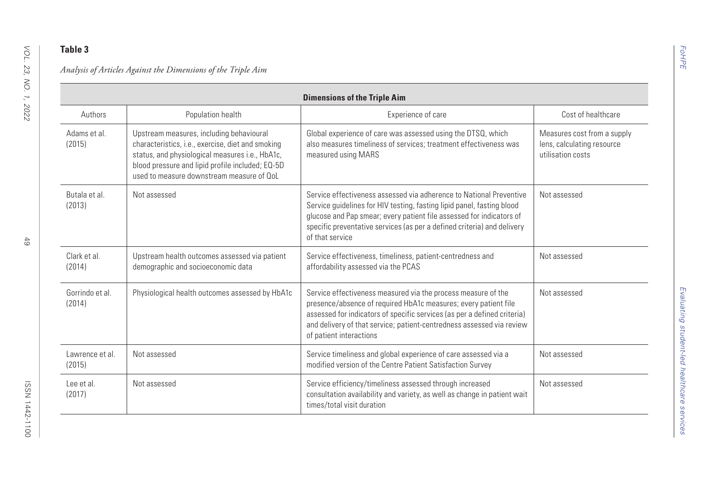|                           |                                                                                                                                                                                                                                                   | <b>Dimensions of the Triple Aim</b>                                                                                                                                                                                                                                                                                 |                                                                                |
|---------------------------|---------------------------------------------------------------------------------------------------------------------------------------------------------------------------------------------------------------------------------------------------|---------------------------------------------------------------------------------------------------------------------------------------------------------------------------------------------------------------------------------------------------------------------------------------------------------------------|--------------------------------------------------------------------------------|
| Authors                   | Population health                                                                                                                                                                                                                                 | Experience of care                                                                                                                                                                                                                                                                                                  | Cost of healthcare                                                             |
| Adams et al.<br>(2015)    | Upstream measures, including behavioural<br>characteristics, i.e., exercise, diet and smoking<br>status, and physiological measures i.e., HbA1c,<br>blood pressure and lipid profile included; EQ-5D<br>used to measure downstream measure of OoL | Global experience of care was assessed using the DTSQ, which<br>also measures timeliness of services; treatment effectiveness was<br>measured using MARS                                                                                                                                                            | Measures cost from a supply<br>lens, calculating resource<br>utilisation costs |
| Butala et al.<br>(2013)   | Not assessed                                                                                                                                                                                                                                      | Service effectiveness assessed via adherence to National Preventive<br>Service guidelines for HIV testing, fasting lipid panel, fasting blood<br>glucose and Pap smear; every patient file assessed for indicators of<br>specific preventative services (as per a defined criteria) and delivery<br>of that service | Not assessed                                                                   |
| Clark et al.<br>(2014)    | Upstream health outcomes assessed via patient<br>demographic and socioeconomic data                                                                                                                                                               | Service effectiveness, timeliness, patient-centredness and<br>affordability assessed via the PCAS                                                                                                                                                                                                                   | Not assessed                                                                   |
| Gorrindo et al.<br>(2014) | Physiological health outcomes assessed by HbA1c                                                                                                                                                                                                   | Service effectiveness measured via the process measure of the<br>presence/absence of required HbA1c measures; every patient file<br>assessed for indicators of specific services (as per a defined criteria)<br>and delivery of that service; patient-centredness assessed via review<br>of patient interactions    | Not assessed                                                                   |
| Lawrence et al.<br>(2015) | Not assessed                                                                                                                                                                                                                                      | Service timeliness and global experience of care assessed via a<br>modified version of the Centre Patient Satisfaction Survey                                                                                                                                                                                       | Not assessed                                                                   |
| Lee et al.<br>(2017)      | Not assessed                                                                                                                                                                                                                                      | Service efficiency/timeliness assessed through increased<br>consultation availability and variety, as well as change in patient wait<br>times/total visit duration                                                                                                                                                  | Not assessed                                                                   |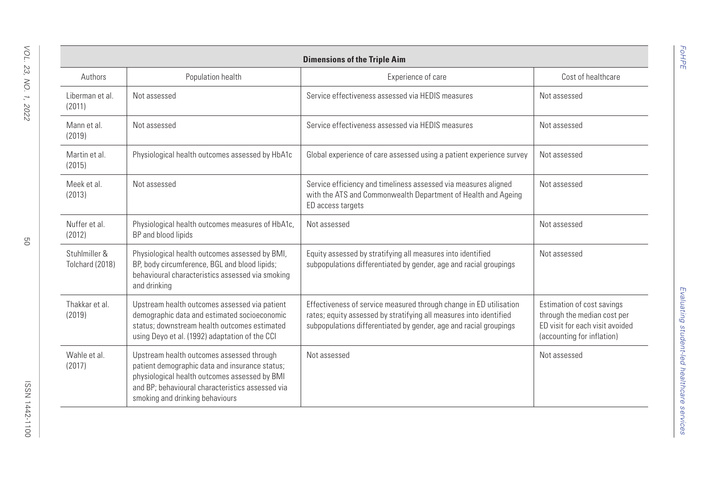| Authors                          | Population health                                                                                                                                                                                                                   | <b>Dimensions of the Triple Aim</b><br>Experience of care                                                                                                                                                     | Cost of healthcare                                                                                                         |
|----------------------------------|-------------------------------------------------------------------------------------------------------------------------------------------------------------------------------------------------------------------------------------|---------------------------------------------------------------------------------------------------------------------------------------------------------------------------------------------------------------|----------------------------------------------------------------------------------------------------------------------------|
|                                  |                                                                                                                                                                                                                                     |                                                                                                                                                                                                               |                                                                                                                            |
| Liberman et al.<br>(2011)        | Not assessed                                                                                                                                                                                                                        | Service effectiveness assessed via HEDIS measures                                                                                                                                                             | Not assessed                                                                                                               |
| Mann et al.<br>(2019)            | Not assessed                                                                                                                                                                                                                        | Service effectiveness assessed via HEDIS measures                                                                                                                                                             | Not assessed                                                                                                               |
| Martin et al.<br>(2015)          | Physiological health outcomes assessed by HbA1c                                                                                                                                                                                     | Global experience of care assessed using a patient experience survey                                                                                                                                          | Not assessed                                                                                                               |
| Meek et al.<br>(2013)            | Not assessed                                                                                                                                                                                                                        | Service efficiency and timeliness assessed via measures aligned<br>with the ATS and Commonwealth Department of Health and Ageing<br>ED access targets                                                         | Not assessed                                                                                                               |
| Nuffer et al.<br>(2012)          | Physiological health outcomes measures of HbA1c,<br>BP and blood lipids                                                                                                                                                             | Not assessed                                                                                                                                                                                                  | Not assessed                                                                                                               |
| Stuhlmiller &<br>Tolchard (2018) | Physiological health outcomes assessed by BMI,<br>BP, body circumference, BGL and blood lipids;<br>behavioural characteristics assessed via smoking<br>and drinking                                                                 | Equity assessed by stratifying all measures into identified<br>subpopulations differentiated by gender, age and racial groupings                                                                              | Not assessed                                                                                                               |
| Thakkar et al.<br>(2019)         | Upstream health outcomes assessed via patient<br>demographic data and estimated socioeconomic<br>status: downstream health outcomes estimated<br>using Deyo et al. (1992) adaptation of the CCI                                     | Effectiveness of service measured through change in ED utilisation<br>rates; equity assessed by stratifying all measures into identified<br>subpopulations differentiated by gender, age and racial groupings | Estimation of cost savings<br>through the median cost per<br>ED visit for each visit avoided<br>(accounting for inflation) |
| Wahle et al<br>(2017)            | Upstream health outcomes assessed through<br>patient demographic data and insurance status;<br>physiological health outcomes assessed by BMI<br>and BP: behavioural characteristics assessed via<br>smoking and drinking behaviours | Not assessed                                                                                                                                                                                                  | Not assessed                                                                                                               |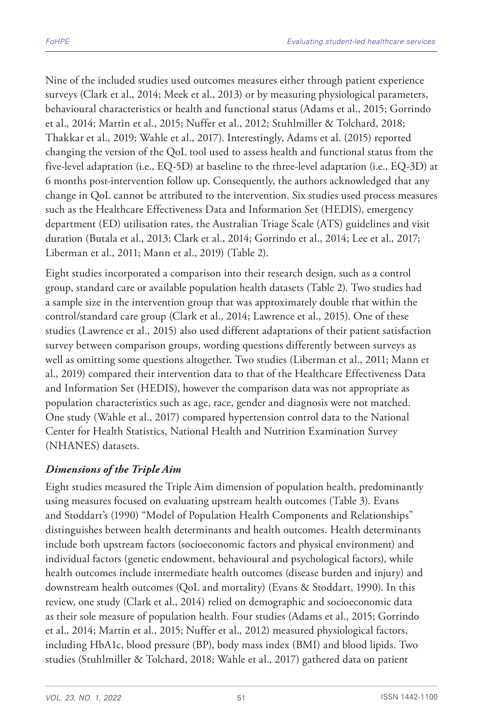Nine of the included studies used outcomes measures either through patient experience surveys (Clark et al., 2014; Meek et al., 2013) or by measuring physiological parameters, behavioural characteristics or health and functional status (Adams et al., 2015; Gorrindo et al., 2014; Martin et al., 2015; Nuffer et al., 2012; Stuhlmiller & Tolchard, 2018; Thakkar et al., 2019; Wahle et al., 2017). Interestingly, Adams et al. (2015) reported changing the version of the QoL tool used to assess health and functional status from the five-level adaptation (i.e., EQ-5D) at baseline to the three-level adaptation (i.e., EQ-3D) at 6 months post-intervention follow up. Consequently, the authors acknowledged that any change in QoL cannot be attributed to the intervention. Six studies used process measures such as the Healthcare Effectiveness Data and Information Set (HEDIS), emergency department (ED) utilisation rates, the Australian Triage Scale (ATS) guidelines and visit duration (Butala et al., 2013; Clark et al., 2014; Gorrindo et al., 2014; Lee et al., 2017; Liberman et al., 2011; Mann et al., 2019) (Table 2).

Eight studies incorporated a comparison into their research design, such as a control group, standard care or available population health datasets (Table 2). Two studies had a sample size in the intervention group that was approximately double that within the control/standard care group (Clark et al., 2014; Lawrence et al., 2015). One of these studies (Lawrence et al., 2015) also used different adaptations of their patient satisfaction survey between comparison groups, wording questions differently between surveys as well as omitting some questions altogether. Two studies (Liberman et al., 2011; Mann et al., 2019) compared their intervention data to that of the Healthcare Effectiveness Data and Information Set (HEDIS), however the comparison data was not appropriate as population characteristics such as age, race, gender and diagnosis were not matched. One study (Wahle et al., 2017) compared hypertension control data to the National Center for Health Statistics, National Health and Nutrition Examination Survey (NHANES) datasets.

### *Dimensions of the Triple Aim*

Eight studies measured the Triple Aim dimension of population health, predominantly using measures focused on evaluating upstream health outcomes (Table 3). Evans and Stoddart's (1990) "Model of Population Health Components and Relationships" distinguishes between health determinants and health outcomes. Health determinants include both upstream factors (socioeconomic factors and physical environment) and individual factors (genetic endowment, behavioural and psychological factors), while health outcomes include intermediate health outcomes (disease burden and injury) and downstream health outcomes (QoL and mortality) (Evans & Stoddart, 1990). In this review, one study (Clark et al., 2014) relied on demographic and socioeconomic data as their sole measure of population health. Four studies (Adams et al., 2015; Gorrindo et al., 2014; Martin et al., 2015; Nuffer et al., 2012) measured physiological factors, including HbA1c, blood pressure (BP), body mass index (BMI) and blood lipids. Two studies (Stuhlmiller & Tolchard, 2018; Wahle et al., 2017) gathered data on patient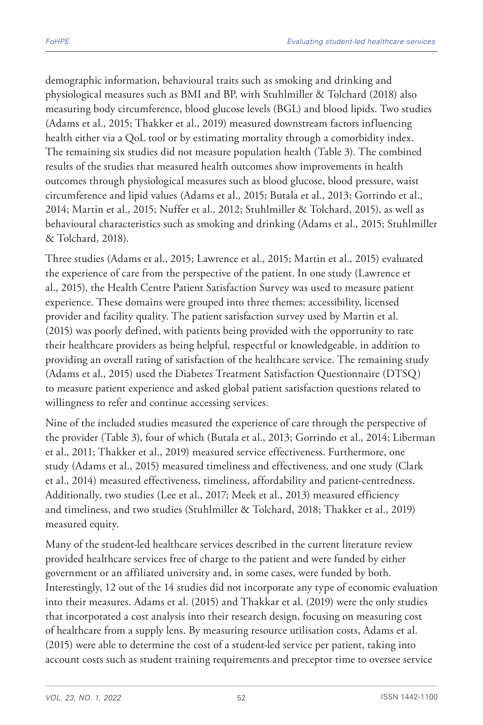demographic information, behavioural traits such as smoking and drinking and physiological measures such as BMI and BP, with Stuhlmiller & Tolchard (2018) also measuring body circumference, blood glucose levels (BGL) and blood lipids. Two studies (Adams et al., 2015; Thakker et al., 2019) measured downstream factors influencing health either via a QoL tool or by estimating mortality through a comorbidity index. The remaining six studies did not measure population health (Table 3). The combined results of the studies that measured health outcomes show improvements in health outcomes through physiological measures such as blood glucose, blood pressure, waist circumference and lipid values (Adams et al., 2015; Butala et al., 2013; Gorrindo et al., 2014; Martin et al., 2015; Nuffer et al., 2012; Stuhlmiller & Tolchard, 2015), as well as behavioural characteristics such as smoking and drinking (Adams et al., 2015; Stuhlmiller & Tolchard, 2018).

Three studies (Adams et al., 2015; Lawrence et al., 2015; Martin et al., 2015) evaluated the experience of care from the perspective of the patient. In one study (Lawrence et al., 2015), the Health Centre Patient Satisfaction Survey was used to measure patient experience. These domains were grouped into three themes: accessibility, licensed provider and facility quality. The patient satisfaction survey used by Martin et al. (2015) was poorly defined, with patients being provided with the opportunity to rate their healthcare providers as being helpful, respectful or knowledgeable, in addition to providing an overall rating of satisfaction of the healthcare service. The remaining study (Adams et al., 2015) used the Diabetes Treatment Satisfaction Questionnaire (DTSQ) to measure patient experience and asked global patient satisfaction questions related to willingness to refer and continue accessing services.

Nine of the included studies measured the experience of care through the perspective of the provider (Table 3), four of which (Butala et al., 2013; Gorrindo et al., 2014; Liberman et al., 2011; Thakker et al., 2019) measured service effectiveness. Furthermore, one study (Adams et al., 2015) measured timeliness and effectiveness, and one study (Clark et al., 2014) measured effectiveness, timeliness, affordability and patient-centredness. Additionally, two studies (Lee et al., 2017; Meek et al., 2013) measured efficiency and timeliness, and two studies (Stuhlmiller & Tolchard, 2018; Thakker et al., 2019) measured equity.

Many of the student-led healthcare services described in the current literature review provided healthcare services free of charge to the patient and were funded by either government or an affiliated university and, in some cases, were funded by both. Interestingly, 12 out of the 14 studies did not incorporate any type of economic evaluation into their measures. Adams et al. (2015) and Thakkar et al. (2019) were the only studies that incorporated a cost analysis into their research design, focusing on measuring cost of healthcare from a supply lens. By measuring resource utilisation costs, Adams et al. (2015) were able to determine the cost of a student-led service per patient, taking into account costs such as student training requirements and preceptor time to oversee service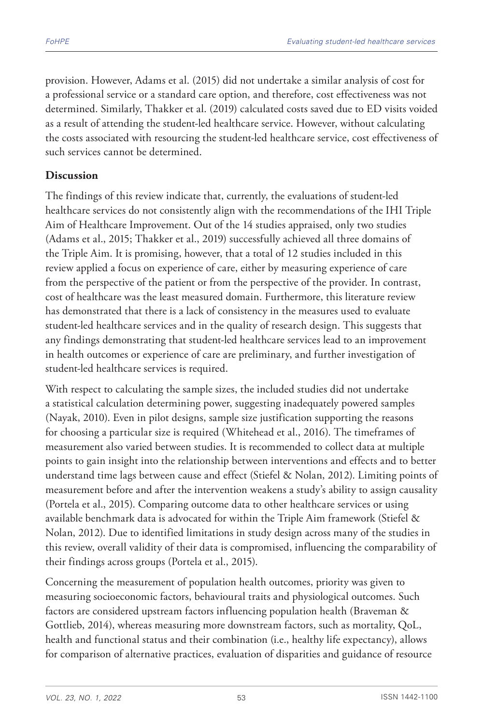provision. However, Adams et al. (2015) did not undertake a similar analysis of cost for a professional service or a standard care option, and therefore, cost effectiveness was not determined. Similarly, Thakker et al. (2019) calculated costs saved due to ED visits voided as a result of attending the student-led healthcare service. However, without calculating the costs associated with resourcing the student-led healthcare service, cost effectiveness of such services cannot be determined.

### **Discussion**

The findings of this review indicate that, currently, the evaluations of student-led healthcare services do not consistently align with the recommendations of the IHI Triple Aim of Healthcare Improvement. Out of the 14 studies appraised, only two studies (Adams et al., 2015; Thakker et al., 2019) successfully achieved all three domains of the Triple Aim. It is promising, however, that a total of 12 studies included in this review applied a focus on experience of care, either by measuring experience of care from the perspective of the patient or from the perspective of the provider. In contrast, cost of healthcare was the least measured domain. Furthermore, this literature review has demonstrated that there is a lack of consistency in the measures used to evaluate student-led healthcare services and in the quality of research design. This suggests that any findings demonstrating that student-led healthcare services lead to an improvement in health outcomes or experience of care are preliminary, and further investigation of student-led healthcare services is required.

With respect to calculating the sample sizes, the included studies did not undertake a statistical calculation determining power, suggesting inadequately powered samples (Nayak, 2010). Even in pilot designs, sample size justification supporting the reasons for choosing a particular size is required (Whitehead et al., 2016). The timeframes of measurement also varied between studies. It is recommended to collect data at multiple points to gain insight into the relationship between interventions and effects and to better understand time lags between cause and effect (Stiefel & Nolan, 2012). Limiting points of measurement before and after the intervention weakens a study's ability to assign causality (Portela et al., 2015). Comparing outcome data to other healthcare services or using available benchmark data is advocated for within the Triple Aim framework (Stiefel & Nolan, 2012). Due to identified limitations in study design across many of the studies in this review, overall validity of their data is compromised, influencing the comparability of their findings across groups (Portela et al., 2015).

Concerning the measurement of population health outcomes, priority was given to measuring socioeconomic factors, behavioural traits and physiological outcomes. Such factors are considered upstream factors influencing population health (Braveman & Gottlieb, 2014), whereas measuring more downstream factors, such as mortality, QoL, health and functional status and their combination (i.e., healthy life expectancy), allows for comparison of alternative practices, evaluation of disparities and guidance of resource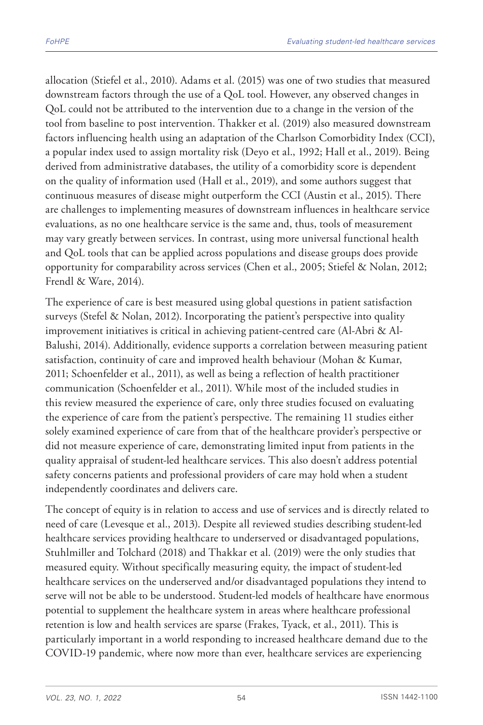allocation (Stiefel et al., 2010). Adams et al. (2015) was one of two studies that measured downstream factors through the use of a QoL tool. However, any observed changes in QoL could not be attributed to the intervention due to a change in the version of the tool from baseline to post intervention. Thakker et al. (2019) also measured downstream factors influencing health using an adaptation of the Charlson Comorbidity Index (CCI), a popular index used to assign mortality risk (Deyo et al., 1992; Hall et al., 2019). Being derived from administrative databases, the utility of a comorbidity score is dependent on the quality of information used (Hall et al., 2019), and some authors suggest that continuous measures of disease might outperform the CCI (Austin et al., 2015). There are challenges to implementing measures of downstream influences in healthcare service evaluations, as no one healthcare service is the same and, thus, tools of measurement may vary greatly between services. In contrast, using more universal functional health and QoL tools that can be applied across populations and disease groups does provide opportunity for comparability across services (Chen et al., 2005; Stiefel & Nolan, 2012; Frendl & Ware, 2014).

The experience of care is best measured using global questions in patient satisfaction surveys (Stefel & Nolan, 2012). Incorporating the patient's perspective into quality improvement initiatives is critical in achieving patient-centred care (Al-Abri & Al-Balushi, 2014). Additionally, evidence supports a correlation between measuring patient satisfaction, continuity of care and improved health behaviour (Mohan & Kumar, 2011; Schoenfelder et al., 2011), as well as being a reflection of health practitioner communication (Schoenfelder et al., 2011). While most of the included studies in this review measured the experience of care, only three studies focused on evaluating the experience of care from the patient's perspective. The remaining 11 studies either solely examined experience of care from that of the healthcare provider's perspective or did not measure experience of care, demonstrating limited input from patients in the quality appraisal of student-led healthcare services. This also doesn't address potential safety concerns patients and professional providers of care may hold when a student independently coordinates and delivers care.

The concept of equity is in relation to access and use of services and is directly related to need of care (Levesque et al., 2013). Despite all reviewed studies describing student-led healthcare services providing healthcare to underserved or disadvantaged populations, Stuhlmiller and Tolchard (2018) and Thakkar et al. (2019) were the only studies that measured equity. Without specifically measuring equity, the impact of student-led healthcare services on the underserved and/or disadvantaged populations they intend to serve will not be able to be understood. Student-led models of healthcare have enormous potential to supplement the healthcare system in areas where healthcare professional retention is low and health services are sparse (Frakes, Tyack, et al., 2011). This is particularly important in a world responding to increased healthcare demand due to the COVID-19 pandemic, where now more than ever, healthcare services are experiencing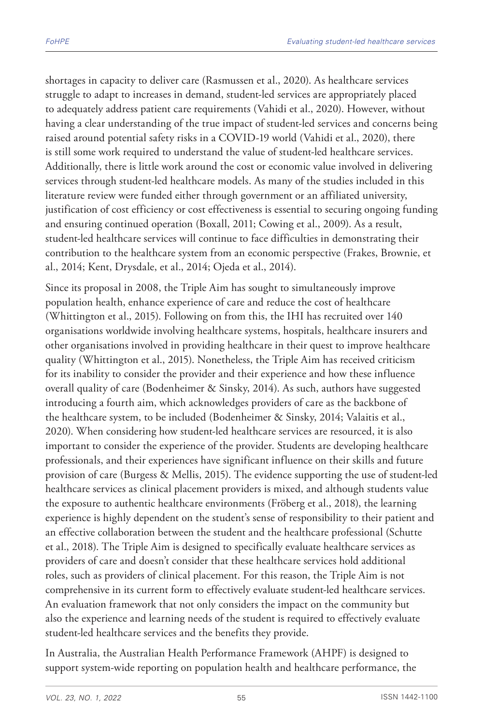shortages in capacity to deliver care (Rasmussen et al., 2020). As healthcare services struggle to adapt to increases in demand, student-led services are appropriately placed to adequately address patient care requirements (Vahidi et al., 2020). However, without having a clear understanding of the true impact of student-led services and concerns being raised around potential safety risks in a COVID-19 world (Vahidi et al., 2020), there is still some work required to understand the value of student-led healthcare services. Additionally, there is little work around the cost or economic value involved in delivering services through student-led healthcare models. As many of the studies included in this literature review were funded either through government or an affiliated university, justification of cost efficiency or cost effectiveness is essential to securing ongoing funding and ensuring continued operation (Boxall, 2011; Cowing et al., 2009). As a result, student-led healthcare services will continue to face difficulties in demonstrating their contribution to the healthcare system from an economic perspective (Frakes, Brownie, et al., 2014; Kent, Drysdale, et al., 2014; Ojeda et al., 2014).

Since its proposal in 2008, the Triple Aim has sought to simultaneously improve population health, enhance experience of care and reduce the cost of healthcare (Whittington et al., 2015). Following on from this, the IHI has recruited over 140 organisations worldwide involving healthcare systems, hospitals, healthcare insurers and other organisations involved in providing healthcare in their quest to improve healthcare quality (Whittington et al., 2015). Nonetheless, the Triple Aim has received criticism for its inability to consider the provider and their experience and how these influence overall quality of care (Bodenheimer & Sinsky, 2014). As such, authors have suggested introducing a fourth aim, which acknowledges providers of care as the backbone of the healthcare system, to be included (Bodenheimer & Sinsky, 2014; Valaitis et al., 2020). When considering how student-led healthcare services are resourced, it is also important to consider the experience of the provider. Students are developing healthcare professionals, and their experiences have significant influence on their skills and future provision of care (Burgess & Mellis, 2015). The evidence supporting the use of student-led healthcare services as clinical placement providers is mixed, and although students value the exposure to authentic healthcare environments (Fröberg et al., 2018), the learning experience is highly dependent on the student's sense of responsibility to their patient and an effective collaboration between the student and the healthcare professional (Schutte et al., 2018). The Triple Aim is designed to specifically evaluate healthcare services as providers of care and doesn't consider that these healthcare services hold additional roles, such as providers of clinical placement. For this reason, the Triple Aim is not comprehensive in its current form to effectively evaluate student-led healthcare services. An evaluation framework that not only considers the impact on the community but also the experience and learning needs of the student is required to effectively evaluate student-led healthcare services and the benefits they provide.

In Australia, the Australian Health Performance Framework (AHPF) is designed to support system-wide reporting on population health and healthcare performance, the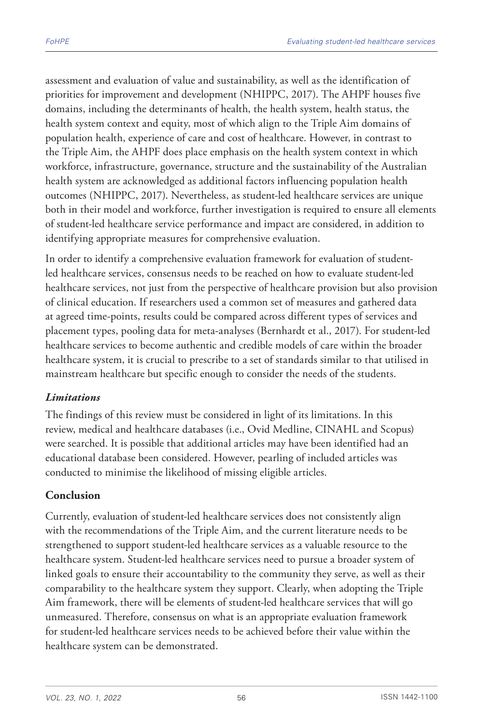assessment and evaluation of value and sustainability, as well as the identification of priorities for improvement and development (NHIPPC, 2017). The AHPF houses five domains, including the determinants of health, the health system, health status, the health system context and equity, most of which align to the Triple Aim domains of population health, experience of care and cost of healthcare. However, in contrast to the Triple Aim, the AHPF does place emphasis on the health system context in which workforce, infrastructure, governance, structure and the sustainability of the Australian health system are acknowledged as additional factors influencing population health outcomes (NHIPPC, 2017). Nevertheless, as student-led healthcare services are unique both in their model and workforce, further investigation is required to ensure all elements of student-led healthcare service performance and impact are considered, in addition to identifying appropriate measures for comprehensive evaluation.

In order to identify a comprehensive evaluation framework for evaluation of studentled healthcare services, consensus needs to be reached on how to evaluate student-led healthcare services, not just from the perspective of healthcare provision but also provision of clinical education. If researchers used a common set of measures and gathered data at agreed time-points, results could be compared across different types of services and placement types, pooling data for meta-analyses (Bernhardt et al., 2017). For student-led healthcare services to become authentic and credible models of care within the broader healthcare system, it is crucial to prescribe to a set of standards similar to that utilised in mainstream healthcare but specific enough to consider the needs of the students.

### *Limitations*

The findings of this review must be considered in light of its limitations. In this review, medical and healthcare databases (i.e., Ovid Medline, CINAHL and Scopus) were searched. It is possible that additional articles may have been identified had an educational database been considered. However, pearling of included articles was conducted to minimise the likelihood of missing eligible articles.

# **Conclusion**

Currently, evaluation of student-led healthcare services does not consistently align with the recommendations of the Triple Aim, and the current literature needs to be strengthened to support student-led healthcare services as a valuable resource to the healthcare system. Student-led healthcare services need to pursue a broader system of linked goals to ensure their accountability to the community they serve, as well as their comparability to the healthcare system they support. Clearly, when adopting the Triple Aim framework, there will be elements of student-led healthcare services that will go unmeasured. Therefore, consensus on what is an appropriate evaluation framework for student-led healthcare services needs to be achieved before their value within the healthcare system can be demonstrated.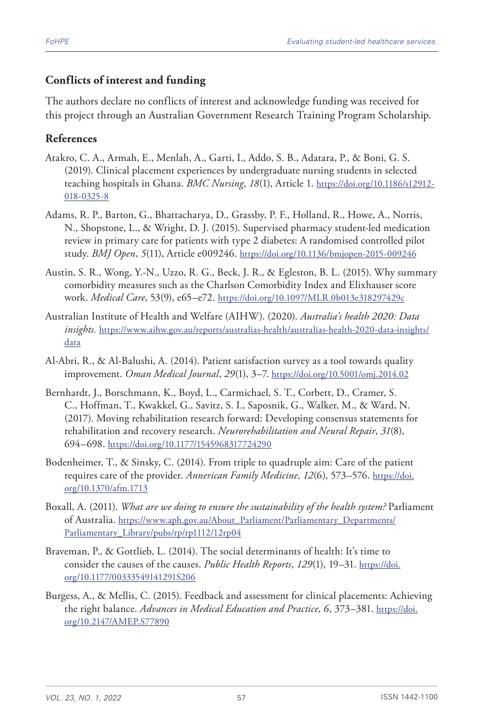### **Conflicts of interest and funding**

The authors declare no conflicts of interest and acknowledge funding was received for this project through an Australian Government Research Training Program Scholarship.

### **References**

- Atakro, C. A., Armah, E., Menlah, A., Garti, I., Addo, S. B., Adatara, P., & Boni, G. S. (2019). Clinical placement experiences by undergraduate nursing students in selected teaching hospitals in Ghana. *BMC Nursing*, *18*(1), Article 1. [https://doi.org/10.1186/s12912-](https://doi.org/10.1186/s12912-018-0325-8) [018-0325-8](https://doi.org/10.1186/s12912-018-0325-8)
- Adams, R. P., Barton, G., Bhattacharya, D., Grassby, P. F., Holland, R., Howe, A., Norris, N., Shopstone, L., & Wright, D. J. (2015). Supervised pharmacy student-led medication review in primary care for patients with type 2 diabetes: A randomised controlled pilot study. *BMJ Open*, *5*(11), Article e009246.<https://doi.org/10.1136/bmjopen-2015-009246>
- Austin, S. R., Wong, Y.-N., Uzzo, R. G., Beck, J. R., & Egleston, B. L. (2015). Why summary comorbidity measures such as the Charlson Comorbidity Index and Elixhauser score work. *Medical Care*, 53(9), e65–e72. <https://doi.org/10.1097/MLR.0b013e318297429c>
- Australian Institute of Health and Welfare (AIHW). (2020). *Australia's health 2020: Data insights.* [https://www.aihw.gov.au/reports/australias-health/australias-health-2020-data-insights/](https://www.aihw.gov.au/reports/australias-health/australias-health-2020-data-insights/data) [data](https://www.aihw.gov.au/reports/australias-health/australias-health-2020-data-insights/data)
- Al-Abri, R., & Al-Balushi, A. (2014). Patient satisfaction survey as a tool towards quality improvement. *Oman Medical Journal*, *29*(1), 3–7.<https://doi.org/10.5001/omj.2014.02>
- Bernhardt, J., Borschmann, K., Boyd, L., Carmichael, S. T., Corbett, D., Cramer, S. C., Hoffman, T., Kwakkel, G., Savitz, S. I., Saposnik, G., Walker, M., & Ward, N. (2017). Moving rehabilitation research forward: Developing consensus statements for rehabilitation and recovery research. *Neurorehabilitation and Neural Repair*, *31*(8), 694–698.<https://doi.org/10.1177/1545968317724290>
- Bodenheimer, T., & Sinsky, C. (2014). From triple to quadruple aim: Care of the patient requires care of the provider. *Annerican Family Medicine*, *12*(6), 573–576. [https://doi.](https://doi.org/10.1370/afm.1713) [org/10.1370/afm.1713](https://doi.org/10.1370/afm.1713)
- Boxall, A. (2011). *What are we doing to ensure the sustainability of the health system?* Parliament of Australia. [https://www.aph.gov.au/About\\_Parliament/Parliamentary\\_Departments/](https://www.aph.gov.au/About_Parliament/Parliamentary_Departments/Parliamentary_Library/pubs/rp/rp1112/12rp04) [Parliamentary\\_Library/pubs/rp/rp1112/12rp04](https://www.aph.gov.au/About_Parliament/Parliamentary_Departments/Parliamentary_Library/pubs/rp/rp1112/12rp04)
- Braveman, P., & Gottlieb, L. (2014). The social determinants of health: It's time to consider the causes of the causes. *Public Health Reports*, *129*(1), 19–31. [https://doi.](https://doi.org/10.1177/00333549141291S206) [org/10.1177/00333549141291S206](https://doi.org/10.1177/00333549141291S206)
- Burgess, A., & Mellis, C. (2015). Feedback and assessment for clinical placements: Achieving the right balance. *Advances in Medical Education and Practice*, *6*, 373–381. [https://doi.](https://doi.org/10.2147/AMEP.S77890) [org/10.2147/AMEP.S77890](https://doi.org/10.2147/AMEP.S77890)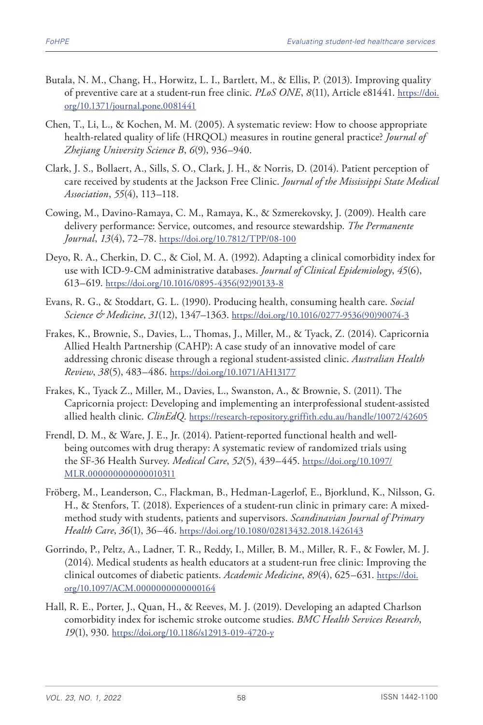- Butala, N. M., Chang, H., Horwitz, L. I., Bartlett, M., & Ellis, P. (2013). Improving quality of preventive care at a student-run free clinic. *PLoS ONE*, *8*(11), Article e81441. [https://doi.](https://doi.org/10.1371/journal.pone.0081441) [org/10.1371/journal.pone.0081441](https://doi.org/10.1371/journal.pone.0081441)
- Chen, T., Li, L., & Kochen, M. M. (2005). A systematic review: How to choose appropriate health-related quality of life (HRQOL) measures in routine general practice? *Journal of Zhejiang University Science B*, *6*(9), 936–940.
- Clark, J. S., Bollaert, A., Sills, S. O., Clark, J. H., & Norris, D. (2014). Patient perception of care received by students at the Jackson Free Clinic. *Journal of the Mississippi State Medical Association*, *55*(4), 113–118.
- Cowing, M., Davino-Ramaya, C. M., Ramaya, K., & Szmerekovsky, J. (2009). Health care delivery performance: Service, outcomes, and resource stewardship. *The Permanente Journal*, *13*(4), 72–78. <https://doi.org/10.7812/TPP/08-100>
- Deyo, R. A., Cherkin, D. C., & Ciol, M. A. (1992). Adapting a clinical comorbidity index for use with ICD-9-CM administrative databases. *Journal of Clinical Epidemiology*, *45*(6), 613–619. [https://doi.org/10.1016/0895-4356\(92\)90133-8](https://doi.org/10.1016/0895-4356(92)90133-8)
- Evans, R. G., & Stoddart, G. L. (1990). Producing health, consuming health care. *Social Science & Medicine*, *31*(12), 1347–1363. [https://doi.org/10.1016/0277-9536\(90\)90074-3](https://doi.org/10.1016/0277-9536(90)90074-3)
- Frakes, K., Brownie, S., Davies, L., Thomas, J., Miller, M., & Tyack, Z. (2014). Capricornia Allied Health Partnership (CAHP): A case study of an innovative model of care addressing chronic disease through a regional student-assisted clinic. *Australian Health Review*, *38*(5), 483–486.<https://doi.org/10.1071/AH13177>
- Frakes, K., Tyack Z., Miller, M., Davies, L., Swanston, A., & Brownie, S. (2011). The Capricornia project: Developing and implementing an interprofessional student-assisted allied health clinic. *ClinEdQ*. <https://research-repository.griffith.edu.au/handle/10072/42605>
- Frendl, D. M., & Ware, J. E., Jr. (2014). Patient-reported functional health and wellbeing outcomes with drug therapy: A systematic review of randomized trials using the SF-36 Health Survey. *Medical Care*, *52*(5), 439–445. [https://doi.org/10.1097/](https://doi.org/10.1097/MLR.000000000000010311) [MLR.000000000000010311](https://doi.org/10.1097/MLR.000000000000010311)
- Fröberg, M., Leanderson, C., Flackman, B., Hedman-Lagerlof, E., Bjorklund, K., Nilsson, G. H., & Stenfors, T. (2018). Experiences of a student-run clinic in primary care: A mixedmethod study with students, patients and supervisors. *Scandinavian Journal of Primary Health Care*, *36*(1), 36–46. <https://doi.org/10.1080/02813432.2018.1426143>
- Gorrindo, P., Peltz, A., Ladner, T. R., Reddy, I., Miller, B. M., Miller, R. F., & Fowler, M. J. (2014). Medical students as health educators at a student-run free clinic: Improving the clinical outcomes of diabetic patients. *Academic Medicine*, *89*(4), 625–631. [https://doi.](https://doi.org/10.1097/ACM.0000000000000164) [org/10.1097/ACM.0000000000000164](https://doi.org/10.1097/ACM.0000000000000164)
- Hall, R. E., Porter, J., Quan, H., & Reeves, M. J. (2019). Developing an adapted Charlson comorbidity index for ischemic stroke outcome studies. *BMC Health Services Research*, *19*(1), 930.<https://doi.org/10.1186/s12913-019-4720-y>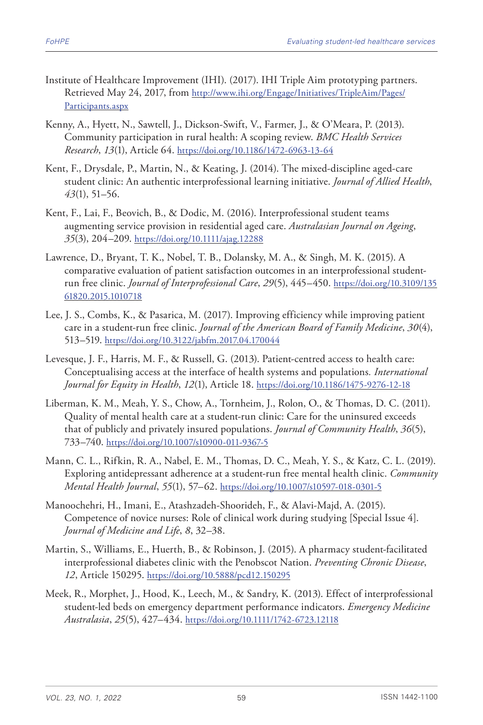- Institute of Healthcare Improvement (IHI). (2017). IHI Triple Aim prototyping partners. Retrieved May 24, 2017, from [http://www.ihi.org/Engage/Initiatives/TripleAim/Pages/](http://www.ihi.org/Engage/Initiatives/TripleAim/Pages/Participants.aspx) [Participants.aspx](http://www.ihi.org/Engage/Initiatives/TripleAim/Pages/Participants.aspx)
- Kenny, A., Hyett, N., Sawtell, J., Dickson-Swift, V., Farmer, J., & O'Meara, P. (2013). Community participation in rural health: A scoping review. *BMC Health Services Research*, *13*(1), Article 64.<https://doi.org/10.1186/1472-6963-13-64>
- Kent, F., Drysdale, P., Martin, N., & Keating, J. (2014). The mixed-discipline aged-care student clinic: An authentic interprofessional learning initiative. *Journal of Allied Health*, *43*(1), 51–56.
- Kent, F., Lai, F., Beovich, B., & Dodic, M. (2016). Interprofessional student teams augmenting service provision in residential aged care. *Australasian Journal on Ageing*, *35*(3), 204–209.<https://doi.org/10.1111/ajag.12288>
- Lawrence, D., Bryant, T. K., Nobel, T. B., Dolansky, M. A., & Singh, M. K. (2015). A comparative evaluation of patient satisfaction outcomes in an interprofessional studentrun free clinic. *Journal of Interprofessional Care*, *29*(5), 445–450. [https://doi.org/10.3109/135](https://doi.org/10.3109/13561820.2015.1010718) [61820.2015.1010718](https://doi.org/10.3109/13561820.2015.1010718)
- Lee, J. S., Combs, K., & Pasarica, M. (2017). Improving efficiency while improving patient care in a student-run free clinic. *Journal of the American Board of Family Medicine*, *30*(4), 513–519.<https://doi.org/10.3122/jabfm.2017.04.170044>
- Levesque, J. F., Harris, M. F., & Russell, G. (2013). Patient-centred access to health care: Conceptualising access at the interface of health systems and populations*. International Journal for Equity in Health*, *12*(1), Article 18. <https://doi.org/10.1186/1475-9276-12-18>
- Liberman, K. M., Meah, Y. S., Chow, A., Tornheim, J., Rolon, O., & Thomas, D. C. (2011). Quality of mental health care at a student-run clinic: Care for the uninsured exceeds that of publicly and privately insured populations. *Journal of Community Health*, *36*(5), 733–740. <https://doi.org/10.1007/s10900-011-9367-5>
- Mann, C. L., Rifkin, R. A., Nabel, E. M., Thomas, D. C., Meah, Y. S., & Katz, C. L. (2019). Exploring antidepressant adherence at a student-run free mental health clinic. *Community Mental Health Journal*, *55*(1), 57–62. <https://doi.org/10.1007/s10597-018-0301-5>
- Manoochehri, H., Imani, E., Atashzadeh-Shoorideh, F., & Alavi-Majd, A. (2015). Competence of novice nurses: Role of clinical work during studying [Special Issue 4]. *Journal of Medicine and Life*, *8*, 32–38.
- Martin, S., Williams, E., Huerth, B., & Robinson, J. (2015). A pharmacy student-facilitated interprofessional diabetes clinic with the Penobscot Nation. *Preventing Chronic Disease*, *12*, Article 150295.<https://doi.org/10.5888/pcd12.150295>
- Meek, R., Morphet, J., Hood, K., Leech, M., & Sandry, K. (2013). Effect of interprofessional student-led beds on emergency department performance indicators. *Emergency Medicine Australasia*, *25*(5), 427–434. <https://doi.org/10.1111/1742-6723.12118>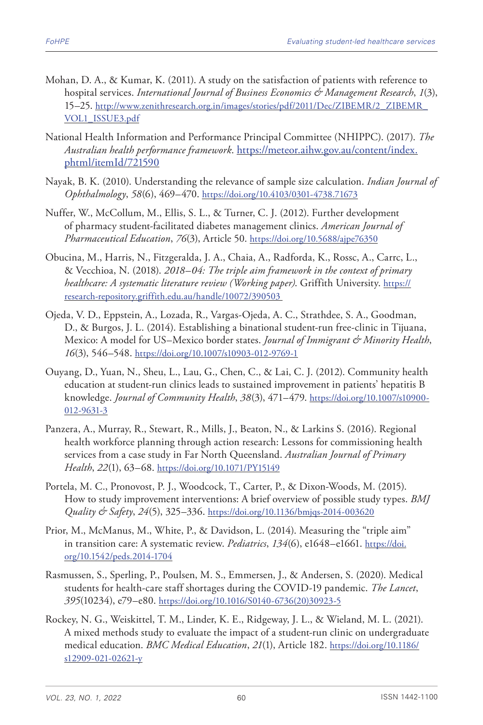- Mohan, D. A., & Kumar, K. (2011). A study on the satisfaction of patients with reference to hospital services. *International Journal of Business Economics & Management Research*, *1*(3), 15–25. [http://www.zenithresearch.org.in/images/stories/pdf/2011/Dec/ZIBEMR/2\\_ZIBEMR\\_](http://www.zenithresearch.org.in/images/stories/pdf/2011/Dec/ZIBEMR/2_ZIBEMR_VOL1_ISSUE3.pdf) [VOL1\\_ISSUE3.pdf](http://www.zenithresearch.org.in/images/stories/pdf/2011/Dec/ZIBEMR/2_ZIBEMR_VOL1_ISSUE3.pdf)
- National Health Information and Performance Principal Committee (NHIPPC). (2017). *The Australian health performance framework*. [https://meteor.aihw.gov.au/content/index.](https://meteor.aihw.gov.au/content/index.phtml/itemId/721590) [phtml/itemId/721590](https://meteor.aihw.gov.au/content/index.phtml/itemId/721590)
- Nayak, B. K. (2010). Understanding the relevance of sample size calculation. *Indian Journal of Ophthalmology*, *58*(6), 469–470. <https://doi.org/10.4103/0301-4738.71673>
- Nuffer, W., McCollum, M., Ellis, S. L., & Turner, C. J. (2012). Further development of pharmacy student-facilitated diabetes management clinics. *American Journal of Pharmaceutical Education*, *76*(3), Article 50. <https://doi.org/10.5688/ajpe76350>
- Obucina, M., Harris, N., Fitzgeralda, J. A., Chaia, A., Radforda, K., Rossc, A., Carrc, L., & Vecchioa, N. (2018). *2018–04: The triple aim framework in the context of primary healthcare: A systematic literature review (Working paper)*. Griffith University. [https://](https://research-repository.griffith.edu.au/handle/10072/390503) [research-repository.griffith.edu.au/handle/10072/390503](https://research-repository.griffith.edu.au/handle/10072/390503)
- Ojeda, V. D., Eppstein, A., Lozada, R., Vargas-Ojeda, A. C., Strathdee, S. A., Goodman, D., & Burgos, J. L. (2014). Establishing a binational student-run free-clinic in Tijuana, Mexico: A model for US–Mexico border states. *Journal of Immigrant & Minority Health*, *16*(3), 546–548. <https://doi.org/10.1007/s10903-012-9769-1>
- Ouyang, D., Yuan, N., Sheu, L., Lau, G., Chen, C., & Lai, C. J. (2012). Community health education at student-run clinics leads to sustained improvement in patients' hepatitis B knowledge. *Journal of Community Health*, *38*(3), 471–479. [https://doi.org/10.1007/s10900-](https://doi.org/10.1007/s10900-012-9631-3) [012-9631-3](https://doi.org/10.1007/s10900-012-9631-3)
- Panzera, A., Murray, R., Stewart, R., Mills, J., Beaton, N., & Larkins S. (2016). Regional health workforce planning through action research: Lessons for commissioning health services from a case study in Far North Queensland. *Australian Journal of Primary Health*, *22*(1), 63–68. <https://doi.org/10.1071/PY15149>
- Portela, M. C., Pronovost, P. J., Woodcock, T., Carter, P., & Dixon-Woods, M. (2015). How to study improvement interventions: A brief overview of possible study types. *BMJ Quality & Safety*, *24*(5), 325–336.<https://doi.org/10.1136/bmjqs-2014-003620>
- Prior, M., McManus, M., White, P., & Davidson, L. (2014). Measuring the "triple aim" in transition care: A systematic review. *Pediatrics*, *134*(6), e1648–e1661. [https://doi.](https://doi.org/10.1542/peds.2014-1704) [org/10.1542/peds.2014-1704](https://doi.org/10.1542/peds.2014-1704)
- Rasmussen, S., Sperling, P., Poulsen, M. S., Emmersen, J., & Andersen, S. (2020). Medical students for health-care staff shortages during the COVID-19 pandemic. *The Lancet*, *395*(10234), e79–e80. [https://doi.org/10.1016/S0140-6736\(20\)30923-5](https://doi.org/10.1016/S0140-6736(20)30923-5)
- Rockey, N. G., Weiskittel, T. M., Linder, K. E., Ridgeway, J. L., & Wieland, M. L. (2021). A mixed methods study to evaluate the impact of a student-run clinic on undergraduate medical education. *BMC Medical Education*, *21*(1), Article 182. [https://doi.org/10.1186/](https://doi.org/10.1186/s12909-021-02621-y) [s12909-021-02621-y](https://doi.org/10.1186/s12909-021-02621-y)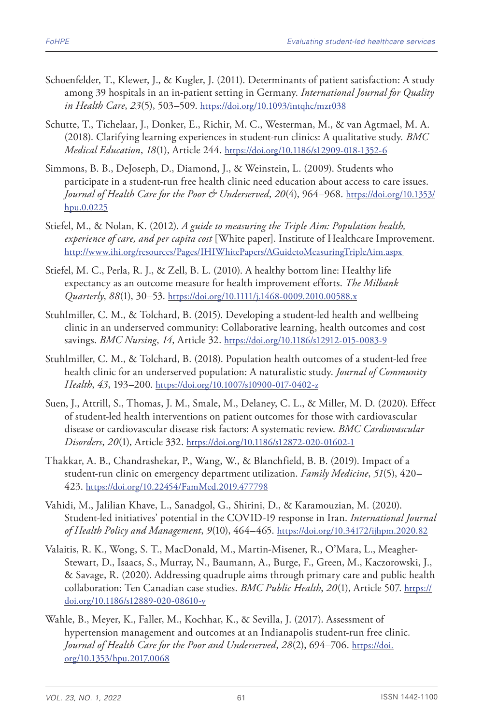- Schoenfelder, T., Klewer, J., & Kugler, J. (2011). Determinants of patient satisfaction: A study among 39 hospitals in an in-patient setting in Germany. *International Journal for Quality in Health Care*, *23*(5), 503–509. <https://doi.org/10.1093/intqhc/mzr038>
- Schutte, T., Tichelaar, J., Donker, E., Richir, M. C., Westerman, M., & van Agtmael, M. A. (2018). Clarifying learning experiences in student-run clinics: A qualitative study*. BMC Medical Education*, *18*(1), Article 244. <https://doi.org/10.1186/s12909-018-1352-6>
- Simmons, B. B., DeJoseph, D., Diamond, J., & Weinstein, L. (2009). Students who participate in a student-run free health clinic need education about access to care issues. *Journal of Health Care for the Poor & Underserved*, *20*(4), 964–968. [https://doi.org/10.1353/](https://doi.org/10.1353/hpu.0.0225) [hpu.0.0225](https://doi.org/10.1353/hpu.0.0225)
- Stiefel, M., & Nolan, K. (2012). *A guide to measuring the Triple Aim: Population health, experience of care, and per capita cost* [White paper]. Institute of Healthcare Improvement. <http://www.ihi.org/resources/Pages/IHIWhitePapers/AGuidetoMeasuringTripleAim.aspx>
- Stiefel, M. C., Perla, R. J., & Zell, B. L. (2010). A healthy bottom line: Healthy life expectancy as an outcome measure for health improvement efforts. *The Milbank Quarterly*, *88*(1), 30–53. <https://doi.org/10.1111/j.1468-0009.2010.00588.x>
- Stuhlmiller, C. M., & Tolchard, B. (2015). Developing a student-led health and wellbeing clinic in an underserved community: Collaborative learning, health outcomes and cost savings. *BMC Nursing*, *14*, Article 32.<https://doi.org/10.1186/s12912-015-0083-9>
- Stuhlmiller, C. M., & Tolchard, B. (2018). Population health outcomes of a student-led free health clinic for an underserved population: A naturalistic study. *Journal of Community Health*, *43*, 193–200.<https://doi.org/10.1007/s10900-017-0402-z>
- Suen, J., Attrill, S., Thomas, J. M., Smale, M., Delaney, C. L., & Miller, M. D. (2020). Effect of student-led health interventions on patient outcomes for those with cardiovascular disease or cardiovascular disease risk factors: A systematic review. *BMC Cardiovascular Disorders*, *20*(1), Article 332.<https://doi.org/10.1186/s12872-020-01602-1>
- Thakkar, A. B., Chandrashekar, P., Wang, W., & Blanchfield, B. B. (2019). Impact of a student-run clinic on emergency department utilization. *Family Medicine*, *51*(5), 420– 423. <https://doi.org/10.22454/FamMed.2019.477798>
- Vahidi, M., Jalilian Khave, L., Sanadgol, G., Shirini, D., & Karamouzian, M. (2020). Student-led initiatives' potential in the COVID-19 response in Iran. *International Journal of Health Policy and Management*, *9*(10), 464–465.<https://doi.org/10.34172/ijhpm.2020.82>
- Valaitis, R. K., Wong, S. T., MacDonald, M., Martin-Misener, R., O'Mara, L., Meagher-Stewart, D., Isaacs, S., Murray, N., Baumann, A., Burge, F., Green, M., Kaczorowski, J., & Savage, R. (2020). Addressing quadruple aims through primary care and public health collaboration: Ten Canadian case studies. *BMC Public Health*, *20*(1), Article 507. [https://](https://doi.org/10.1186/s12889-020-08610-y) [doi.org/10.1186/s12889-020-08610-y](https://doi.org/10.1186/s12889-020-08610-y)
- Wahle, B., Meyer, K., Faller, M., Kochhar, K., & Sevilla, J. (2017). Assessment of hypertension management and outcomes at an Indianapolis student-run free clinic*. Journal of Health Care for the Poor and Underserved*, *28*(2), 694–706. [https://doi.](https://doi.org/10.1353/hpu.2017.0068) [org/10.1353/hpu.2017.0068](https://doi.org/10.1353/hpu.2017.0068)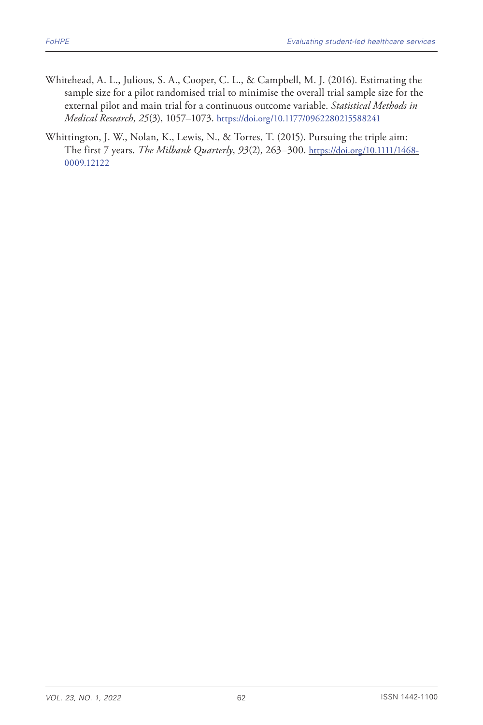- Whitehead, A. L., Julious, S. A., Cooper, C. L., & Campbell, M. J. (2016). Estimating the sample size for a pilot randomised trial to minimise the overall trial sample size for the external pilot and main trial for a continuous outcome variable. *Statistical Methods in Medical Research*, *25*(3), 1057–1073. <https://doi.org/10.1177/0962280215588241>
- Whittington, J. W., Nolan, K., Lewis, N., & Torres, T. (2015). Pursuing the triple aim: The first 7 years. *The Milbank Quarterly*, *93*(2), 263–300. [https://doi.org/10.1111/1468-](https://doi.org/10.1111/1468-0009.12122) [0009.12122](https://doi.org/10.1111/1468-0009.12122)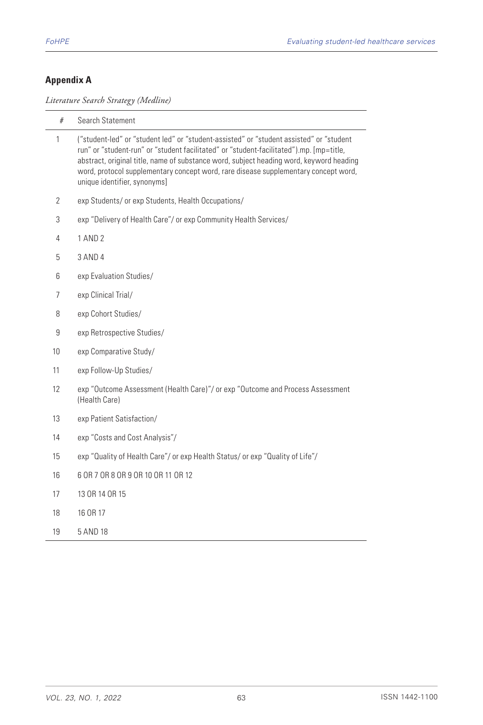### **Appendix A**

*Literature Search Strategy (Medline)*

| #              | Search Statement                                                                                                                                                                                                                                                                                                                                                                                     |
|----------------|------------------------------------------------------------------------------------------------------------------------------------------------------------------------------------------------------------------------------------------------------------------------------------------------------------------------------------------------------------------------------------------------------|
| 1              | ("student-led" or "student led" or "student-assisted" or "student assisted" or "student<br>run" or "student-run" or "student facilitated" or "student-facilitated").mp. [mp=title,<br>abstract, original title, name of substance word, subject heading word, keyword heading<br>word, protocol supplementary concept word, rare disease supplementary concept word,<br>unique identifier, synonyms] |
| 2              | exp Students/ or exp Students, Health Occupations/                                                                                                                                                                                                                                                                                                                                                   |
| 3              | exp "Delivery of Health Care"/ or exp Community Health Services/                                                                                                                                                                                                                                                                                                                                     |
| 4              | 1 AND 2                                                                                                                                                                                                                                                                                                                                                                                              |
| 5              | 3 AND 4                                                                                                                                                                                                                                                                                                                                                                                              |
| 6              | exp Evaluation Studies/                                                                                                                                                                                                                                                                                                                                                                              |
| $\overline{7}$ | exp Clinical Trial/                                                                                                                                                                                                                                                                                                                                                                                  |
| 8              | exp Cohort Studies/                                                                                                                                                                                                                                                                                                                                                                                  |
| 9              | exp Retrospective Studies/                                                                                                                                                                                                                                                                                                                                                                           |
| 10             | exp Comparative Study/                                                                                                                                                                                                                                                                                                                                                                               |
| 11             | exp Follow-Up Studies/                                                                                                                                                                                                                                                                                                                                                                               |
| 12             | exp "Outcome Assessment (Health Care)"/ or exp "Outcome and Process Assessment<br>(Health Care)                                                                                                                                                                                                                                                                                                      |
| 13             | exp Patient Satisfaction/                                                                                                                                                                                                                                                                                                                                                                            |
| 14             | exp "Costs and Cost Analysis"/                                                                                                                                                                                                                                                                                                                                                                       |
| 15             | exp "Quality of Health Care"/ or exp Health Status/ or exp "Quality of Life"/                                                                                                                                                                                                                                                                                                                        |
| 16             | 6 OR 7 OR 8 OR 9 OR 10 OR 11 OR 12                                                                                                                                                                                                                                                                                                                                                                   |
| 17             | 13 OR 14 OR 15                                                                                                                                                                                                                                                                                                                                                                                       |
| 18             | 16 OR 17                                                                                                                                                                                                                                                                                                                                                                                             |
| 19             | 5 AND 18                                                                                                                                                                                                                                                                                                                                                                                             |